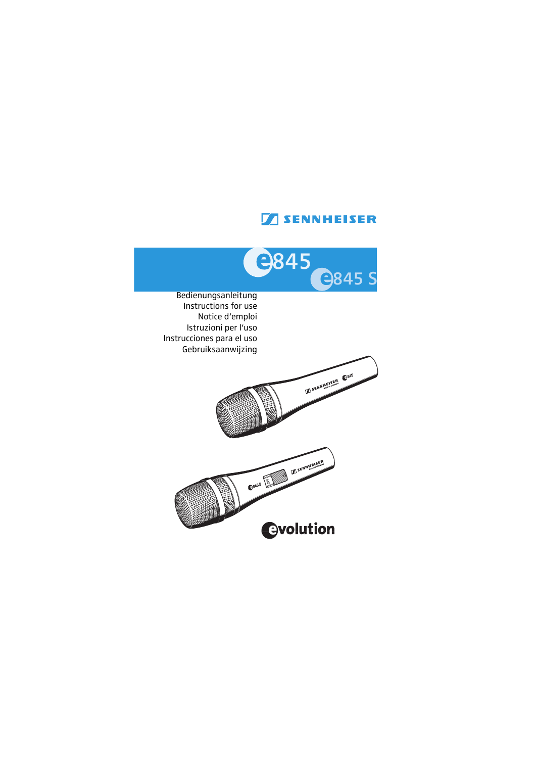## **TENNHEISER**

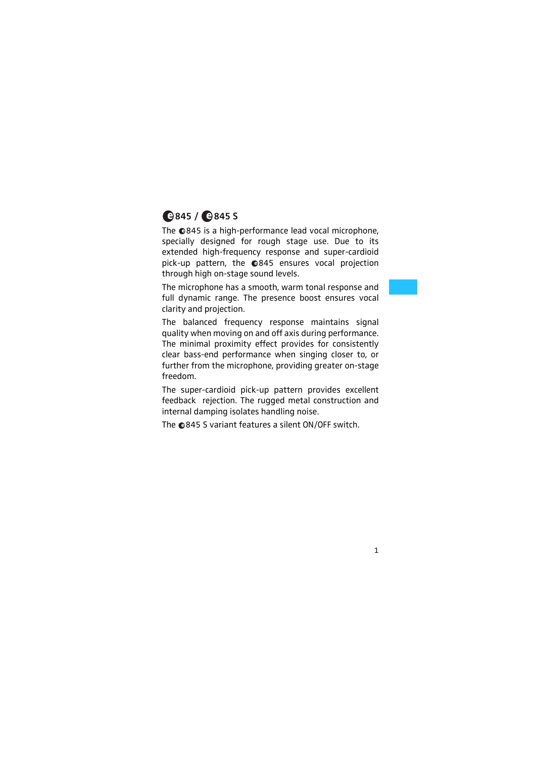# **845 / 845 S**

The ©845 is a high-performance lead vocal microphone, specially designed for rough stage use. Due to its extended high-frequency response and super-cardioid pick-up pattern, the 845 ensures vocal projection through high on-stage sound levels.

The microphone has a smooth, warm tonal response and full dynamic range. The presence boost ensures vocal clarity and projection.

The balanced frequency response maintains signal quality when moving on and off axis during performance. The minimal proximity effect provides for consistently clear bass-end performance when singing closer to, or further from the microphone, providing greater on-stage freedom.

The super-cardioid pick-up pattern provides excellent feedback rejection. The rugged metal construction and internal damping isolates handling noise.

The  $\odot$ 845 S variant features a silent ON/OFF switch.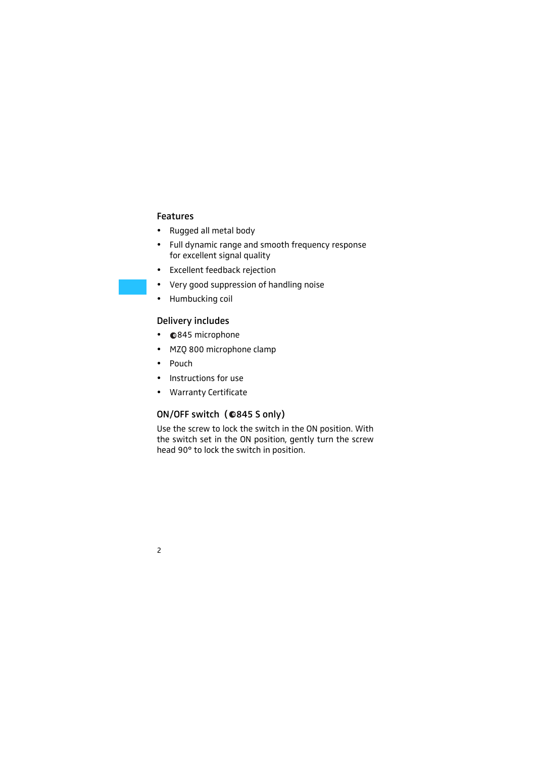### Features

- Rugged all metal body
- Full dynamic range and smooth frequency response for excellent signal quality
- Excellent feedback rejection
- Very good suppression of handling noise
- Humbucking coil

### Delivery includes

- $Q$ 845 microphone
- MZQ 800 microphone clamp
- $\bullet$  Pouch
- Instructions for use
- Warranty Certificate

### ON/OFF switch ( 845 S only)

Use the screw to lock the switch in the ON position. With the switch set in the ON position, gently turn the screw head 90° to lock the switch in position.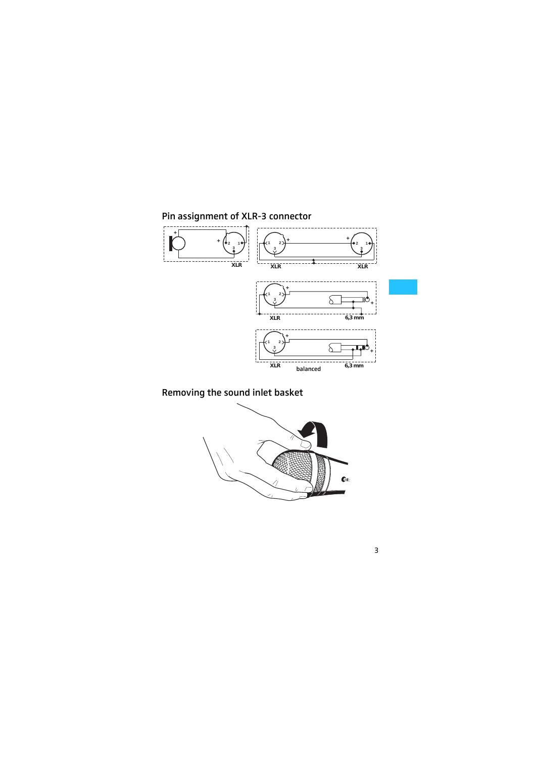

Removing the sound inlet basket

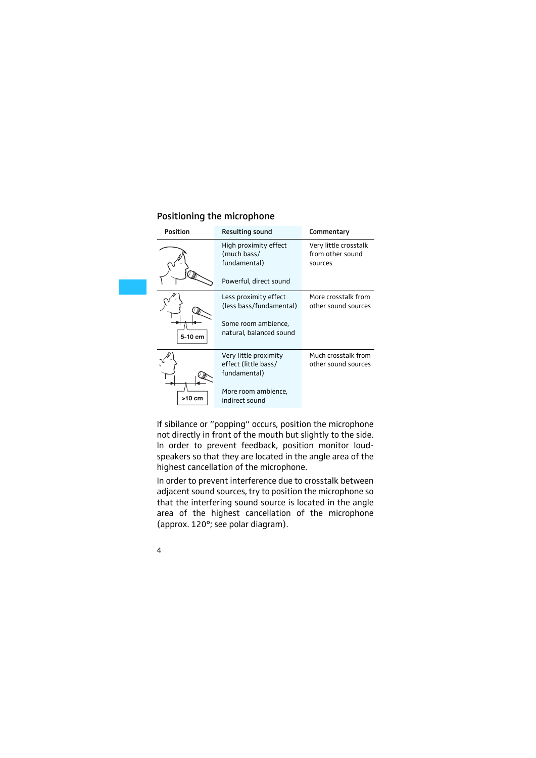|  | Positioning the microphone |
|--|----------------------------|
|--|----------------------------|

| <b>Position</b> | <b>Resulting sound</b>                                                                             | Commentary                                           |  |  |  |  |
|-----------------|----------------------------------------------------------------------------------------------------|------------------------------------------------------|--|--|--|--|
|                 | High proximity effect<br>(much bass/<br>fundamental)                                               | Very little crosstalk<br>from other sound<br>sources |  |  |  |  |
|                 | Powerful, direct sound                                                                             |                                                      |  |  |  |  |
| 5-10 cm         | Less proximity effect<br>(less bass/fundamental)<br>Some room ambience,<br>natural, balanced sound | More crosstalk from<br>other sound sources           |  |  |  |  |
|                 | Very little proximity<br>effect (little bass/<br>fundamental)                                      | Much crosstalk from<br>other sound sources           |  |  |  |  |
| >10 cm          | More room ambience,<br>indirect sound                                                              |                                                      |  |  |  |  |

If sibilance or "popping" occurs, position the microphone not directly in front of the mouth but slightly to the side. In order to prevent feedback, position monitor loudspeakers so that they are located in the angle area of the highest cancellation of the microphone.

In order to prevent interference due to crosstalk between adjacent sound sources, try to position the microphone so that the interfering sound source is located in the angle area of the highest cancellation of the microphone (approx. 120°; see polar diagram).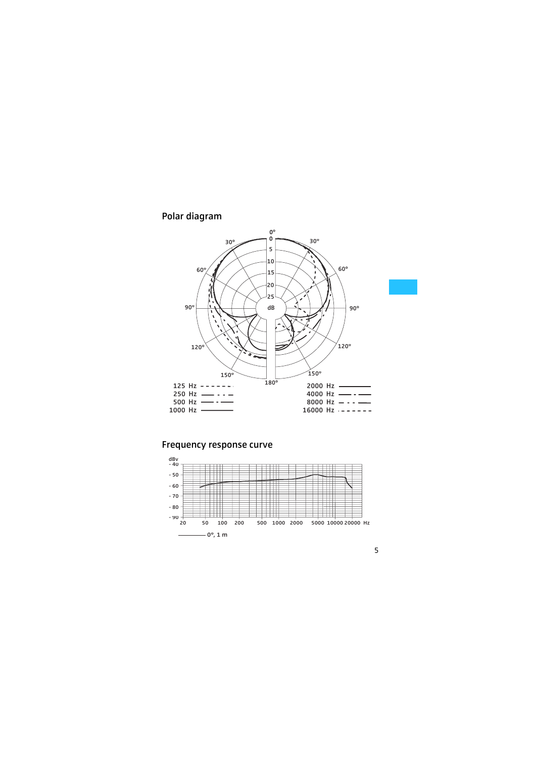#### Polar diagram



#### Frequency response curve

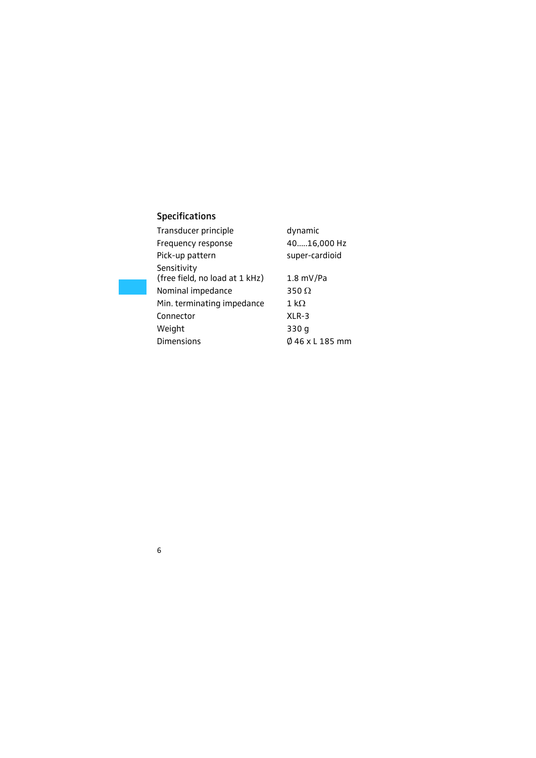### Specifications

| Transducer principle                          | dynamic         |
|-----------------------------------------------|-----------------|
| Frequency response                            | 4016,000 Hz     |
| Pick-up pattern                               | super-cardioid  |
| Sensitivity<br>(free field, no load at 1 kHz) | $1.8$ mV/Pa     |
| Nominal impedance                             | 350 $\Omega$    |
| Min. terminating impedance                    | 1 k $\Omega$    |
| Connector                                     | $XLR-3$         |
| Weight                                        | 330 g           |
| <b>Dimensions</b>                             | Ø 46 x L 185 mm |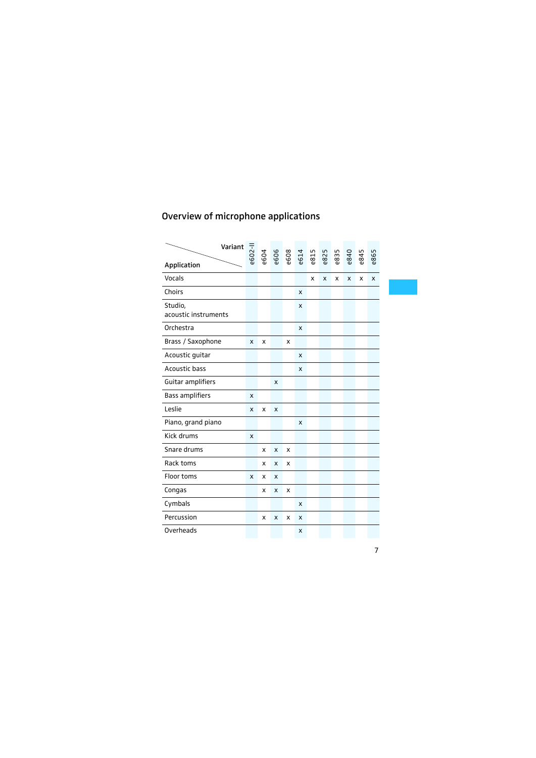### Overview of microphone applications

| Variant                         | $-500$ | e604 | e606 | e608 | e614 | e815 | 825 | e835 | e840 | e845 | e865 |
|---------------------------------|--------|------|------|------|------|------|-----|------|------|------|------|
| Application                     |        |      |      |      |      |      |     |      |      |      |      |
| Vocals                          |        |      |      |      |      | X    | x   | x    | x    | x    | X    |
| Choirs                          |        |      |      |      | X    |      |     |      |      |      |      |
| Studio,<br>acoustic instruments |        |      |      |      | X    |      |     |      |      |      |      |
| Orchestra                       |        |      |      |      | X    |      |     |      |      |      |      |
| Brass / Saxophone               | X      | x    |      | x    |      |      |     |      |      |      |      |
| Acoustic guitar                 |        |      |      |      | X    |      |     |      |      |      |      |
| Acoustic bass                   |        |      |      |      | X    |      |     |      |      |      |      |
| Guitar amplifiers               |        |      | X    |      |      |      |     |      |      |      |      |
| <b>Bass amplifiers</b>          | X      |      |      |      |      |      |     |      |      |      |      |
| Leslie                          | X      | x    | X    |      |      |      |     |      |      |      |      |
| Piano, grand piano              |        |      |      |      | X    |      |     |      |      |      |      |
| Kick drums                      | x      |      |      |      |      |      |     |      |      |      |      |
| Snare drums                     |        | x    | X    | x    |      |      |     |      |      |      |      |
| Rack toms                       |        | x    | x    | x    |      |      |     |      |      |      |      |
| Floor toms                      | x      | x    | x    |      |      |      |     |      |      |      |      |
| Congas                          |        | x    | x    | x    |      |      |     |      |      |      |      |
| Cymbals                         |        |      |      |      | X    |      |     |      |      |      |      |
| Percussion                      |        | x    | x    | x    | X    |      |     |      |      |      |      |
| Overheads                       |        |      |      |      | X    |      |     |      |      |      |      |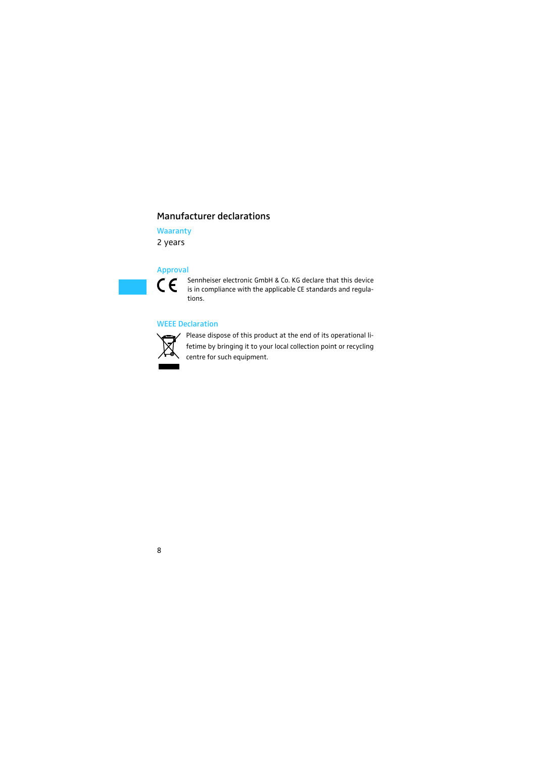### Manufacturer declarations

**Waaranty** 

2 years

#### Approval

 $\epsilon$ 

Sennheiser electronic GmbH & Co. KG declare that this device is in compliance with the applicable CE standards and regulations.

#### WEEE Declaration



Please dispose of this product at the end of its operational lifetime by bringing it to your local collection point or recycling centre for such equipment.